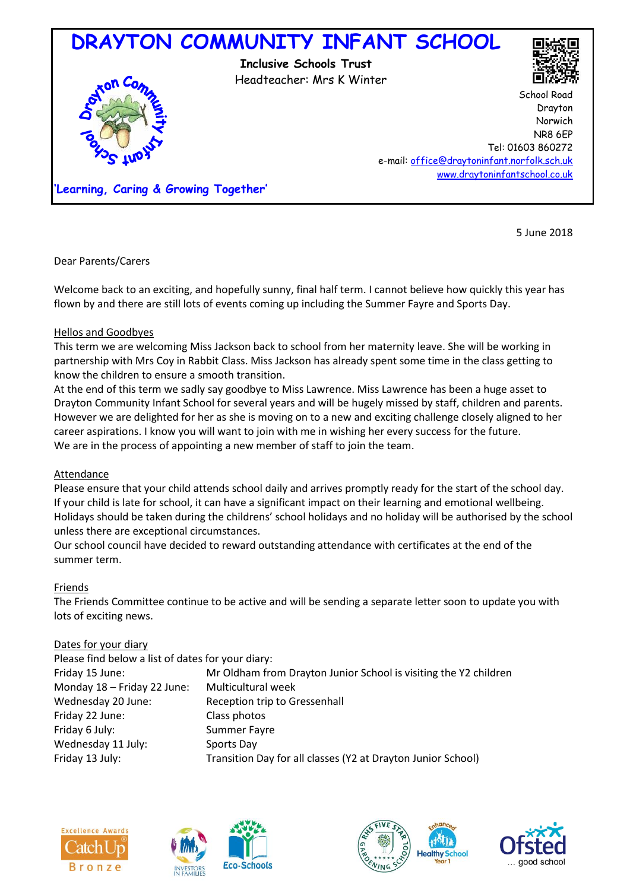

5 June 2018

Dear Parents/Carers

Welcome back to an exciting, and hopefully sunny, final half term. I cannot believe how quickly this year has flown by and there are still lots of events coming up including the Summer Fayre and Sports Day.

# Hellos and Goodbyes

This term we are welcoming Miss Jackson back to school from her maternity leave. She will be working in partnership with Mrs Coy in Rabbit Class. Miss Jackson has already spent some time in the class getting to know the children to ensure a smooth transition.

At the end of this term we sadly say goodbye to Miss Lawrence. Miss Lawrence has been a huge asset to Drayton Community Infant School for several years and will be hugely missed by staff, children and parents. However we are delighted for her as she is moving on to a new and exciting challenge closely aligned to her career aspirations. I know you will want to join with me in wishing her every success for the future. We are in the process of appointing a new member of staff to join the team.

### Attendance

Please ensure that your child attends school daily and arrives promptly ready for the start of the school day. If your child is late for school, it can have a significant impact on their learning and emotional wellbeing. Holidays should be taken during the childrens' school holidays and no holiday will be authorised by the school unless there are exceptional circumstances.

Our school council have decided to reward outstanding attendance with certificates at the end of the summer term.

### Friends

The Friends Committee continue to be active and will be sending a separate letter soon to update you with lots of exciting news.

### Dates for your diary

| Please find below a list of dates for your diary:                |
|------------------------------------------------------------------|
| Mr Oldham from Drayton Junior School is visiting the Y2 children |
| Multicultural week                                               |
| Reception trip to Gressenhall                                    |
| Class photos                                                     |
| Summer Fayre                                                     |
| Sports Day                                                       |
| Transition Day for all classes (Y2 at Drayton Junior School)     |
|                                                                  |